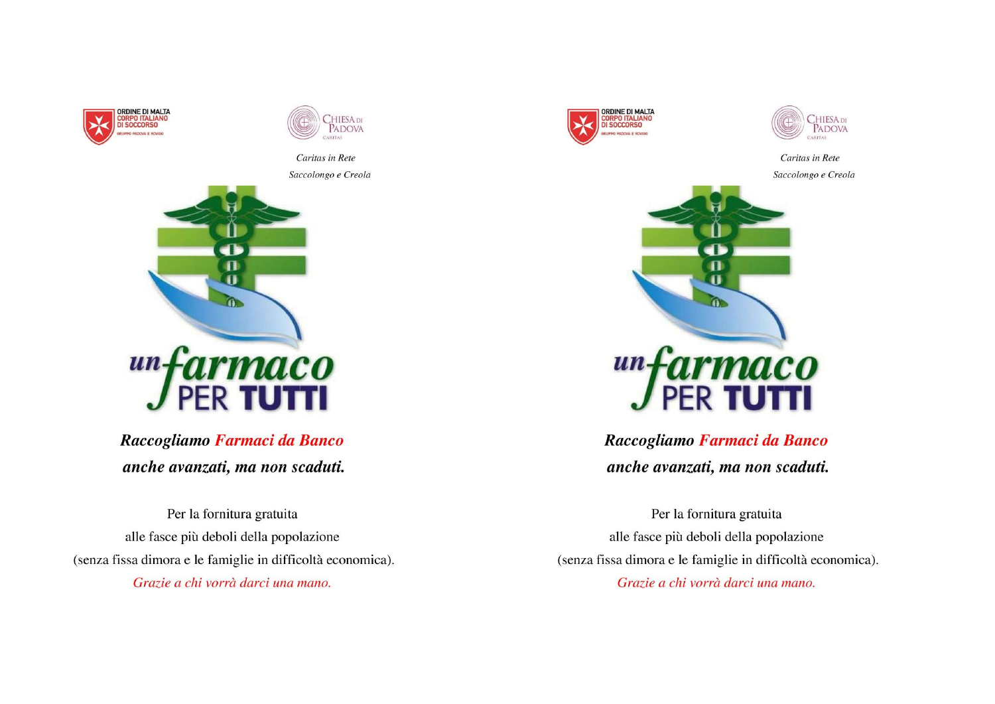



Caritas in Rete Saccolongo e Creola



Raccogliamo Farmaci da Banco anche avanzati, ma non scaduti.

Per la fornitura gratuita alle fasce più deboli della popolazione (senza fissa dimora e le famiglie in difficoltà economica). Grazie a chi vorrà darci una mano.





Caritas in Rete Saccolongo e Creola



Raccogliamo Farmaci da Banco anche avanzati, ma non scaduti.

Per la fornitura gratuita alle fasce più deboli della popolazione (senza fissa dimora e le famiglie in difficoltà economica). Grazie a chi vorrà darci una mano.